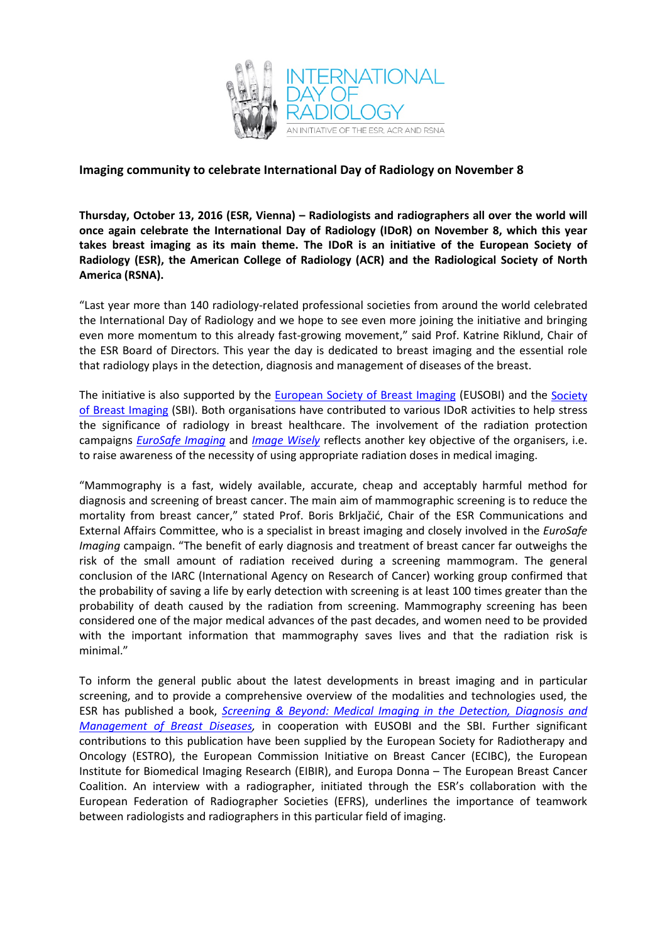

## **Imaging community to celebrate International Day of Radiology on November 8**

**Thursday, October 13, 2016 (ESR, Vienna) – Radiologists and radiographers all over the world will once again celebrate the International Day of Radiology (IDoR) on November 8, which this year takes breast imaging as its main theme. The IDoR is an initiative of the European Society of Radiology (ESR), the American College of Radiology (ACR) and the Radiological Society of North America (RSNA).**

"Last year more than 140 radiology-related professional societies from around the world celebrated the International Day of Radiology and we hope to see even more joining the initiative and bringing even more momentum to this already fast-growing movement," said Prof. Katrine Riklund, Chair of the ESR Board of Directors. This year the day is dedicated to breast imaging and the essential role that radiology plays in the detection, diagnosis and management of diseases of the breast.

The initiative is also supported by the [European Society of Breast Imaging](http://www.eusobi.org/cms/website.php) (EUSOBI) and the [Society](https://www.sbi-online.org/)  [of Breast Imaging](https://www.sbi-online.org/) (SBI). Both organisations have contributed to various IDoR activities to help stress the significance of radiology in breast healthcare. The involvement of the radiation protection campaigns *[EuroSafe Imaging](http://www.eurosafeimaging.org/)* and *[Image Wisely](http://www.imagewisely.org/)* reflects another key objective of the organisers, i.e. to raise awareness of the necessity of using appropriate radiation doses in medical imaging.

"Mammography is a fast, widely available, accurate, cheap and acceptably harmful method for diagnosis and screening of breast cancer. The main aim of mammographic screening is to reduce the mortality from breast cancer," stated Prof. Boris Brkljačić, Chair of the ESR Communications and External Affairs Committee, who is a specialist in breast imaging and closely involved in the *EuroSafe Imaging* campaign. "The benefit of early diagnosis and treatment of breast cancer far outweighs the risk of the small amount of radiation received during a screening mammogram. The general conclusion of the IARC (International Agency on Research of Cancer) working group confirmed that the probability of saving a life by early detection with screening is at least 100 times greater than the probability of death caused by the radiation from screening. Mammography screening has been considered one of the major medical advances of the past decades, and women need to be provided with the important information that mammography saves lives and that the radiation risk is minimal."

To inform the general public about the latest developments in breast imaging and in particular screening, and to provide a comprehensive overview of the modalities and technologies used, the ESR has published a book, *Screening & Beyond: [Medical Imaging in the Detection, Diagnosis and](http://www.internationaldayofradiology.com/publications/)  [Management of Breast Diseases,](http://www.internationaldayofradiology.com/publications/)* in cooperation with EUSOBI and the SBI. Further significant contributions to this publication have been supplied by the European Society for Radiotherapy and Oncology (ESTRO), the European Commission Initiative on Breast Cancer (ECIBC), the European Institute for Biomedical Imaging Research (EIBIR), and Europa Donna – The European Breast Cancer Coalition. An interview with a radiographer, initiated through the ESR's collaboration with the European Federation of Radiographer Societies (EFRS), underlines the importance of teamwork between radiologists and radiographers in this particular field of imaging.